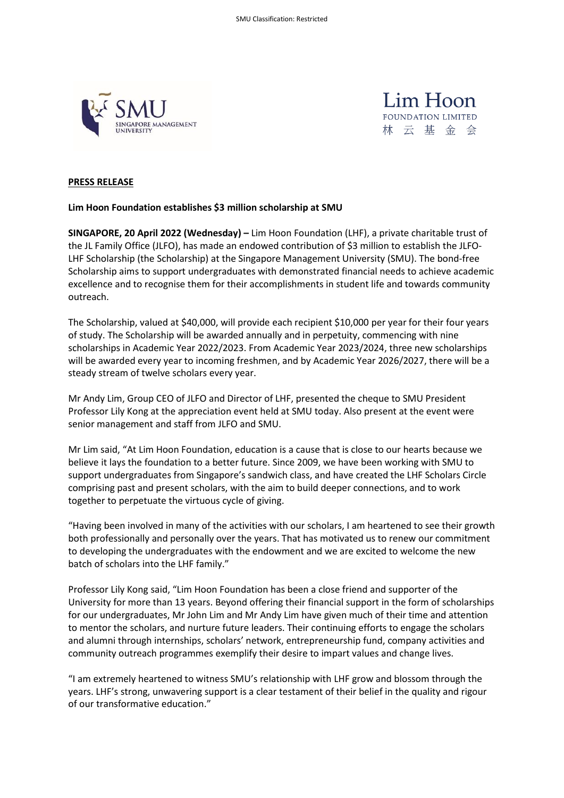



### **PRESS RELEASE**

### **Lim Hoon Foundation establishes \$3 million scholarship at SMU**

**SINGAPORE, 20 April 2022 (Wednesday) –** Lim Hoon Foundation (LHF), a private charitable trust of the JL Family Office (JLFO), has made an endowed contribution of \$3 million to establish the JLFO-LHF Scholarship (the Scholarship) at the Singapore Management University (SMU). The bond-free Scholarship aims to support undergraduates with demonstrated financial needs to achieve academic excellence and to recognise them for their accomplishments in student life and towards community outreach.

The Scholarship, valued at \$40,000, will provide each recipient \$10,000 per year for their four years of study. The Scholarship will be awarded annually and in perpetuity, commencing with nine scholarships in Academic Year 2022/2023. From Academic Year 2023/2024, three new scholarships will be awarded every year to incoming freshmen, and by Academic Year 2026/2027, there will be a steady stream of twelve scholars every year.

Mr Andy Lim, Group CEO of JLFO and Director of LHF, presented the cheque to SMU President Professor Lily Kong at the appreciation event held at SMU today. Also present at the event were senior management and staff from JLFO and SMU.

Mr Lim said, "At Lim Hoon Foundation, education is a cause that is close to our hearts because we believe it lays the foundation to a better future. Since 2009, we have been working with SMU to support undergraduates from Singapore's sandwich class, and have created the LHF Scholars Circle comprising past and present scholars, with the aim to build deeper connections, and to work together to perpetuate the virtuous cycle of giving.

"Having been involved in many of the activities with our scholars, I am heartened to see their growth both professionally and personally over the years. That has motivated us to renew our commitment to developing the undergraduates with the endowment and we are excited to welcome the new batch of scholars into the LHF family."

Professor Lily Kong said, "Lim Hoon Foundation has been a close friend and supporter of the University for more than 13 years. Beyond offering their financial support in the form of scholarships for our undergraduates, Mr John Lim and Mr Andy Lim have given much of their time and attention to mentor the scholars, and nurture future leaders. Their continuing efforts to engage the scholars and alumni through internships, scholars' network, entrepreneurship fund, company activities and community outreach programmes exemplify their desire to impart values and change lives.

"I am extremely heartened to witness SMU's relationship with LHF grow and blossom through the years. LHF's strong, unwavering support is a clear testament of their belief in the quality and rigour of our transformative education."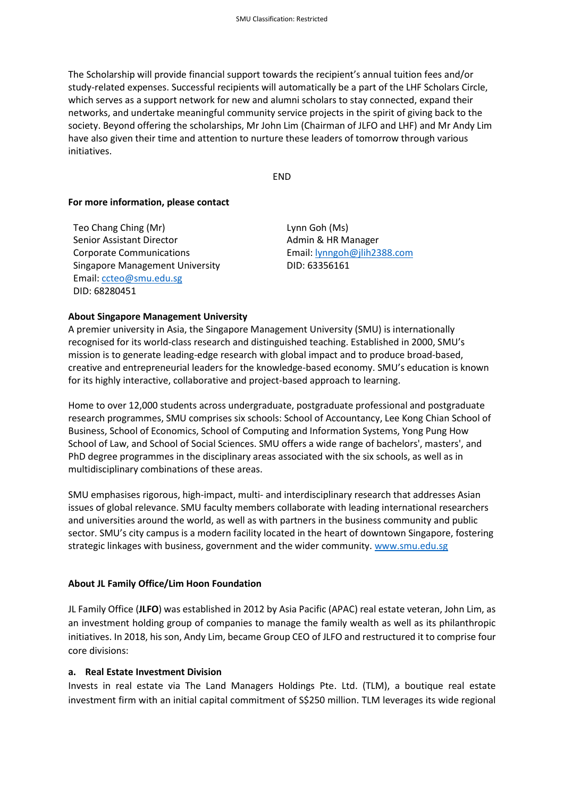The Scholarship will provide financial support towards the recipient's annual tuition fees and/or study-related expenses. Successful recipients will automatically be a part of the LHF Scholars Circle, which serves as a support network for new and alumni scholars to stay connected, expand their networks, and undertake meaningful community service projects in the spirit of giving back to the society. Beyond offering the scholarships, Mr John Lim (Chairman of JLFO and LHF) and Mr Andy Lim have also given their time and attention to nurture these leaders of tomorrow through various initiatives.

END

#### **For more information, please contact**

Teo Chang Ching (Mr) Senior Assistant Director Corporate Communications Singapore Management University Email: [ccteo@smu.edu.sg](mailto:ccteo@smu.edu.sg) DID: 68280451

Lynn Goh (Ms) Admin & HR Manager Email[: lynngoh@jlih2388.com](mailto:lynngoh@jlih2388.com) DID: 63356161

### **About Singapore Management University**

A premier university in Asia, the Singapore Management University (SMU) is internationally recognised for its world-class research and distinguished teaching. Established in 2000, SMU's mission is to generate leading-edge research with global impact and to produce broad-based, creative and entrepreneurial leaders for the knowledge-based economy. SMU's education is known for its highly interactive, collaborative and project-based approach to learning.

Home to over 12,000 students across undergraduate, postgraduate professional and postgraduate research programmes, SMU comprises six schools: School of Accountancy, Lee Kong Chian School of Business, School of Economics, School of Computing and Information Systems, Yong Pung How School of Law, and School of Social Sciences. SMU offers a wide range of bachelors', masters', and PhD degree programmes in the disciplinary areas associated with the six schools, as well as in multidisciplinary combinations of these areas.

SMU emphasises rigorous, high-impact, multi- and interdisciplinary research that addresses Asian issues of global relevance. SMU faculty members collaborate with leading international researchers and universities around the world, as well as with partners in the business community and public sector. SMU's city campus is a modern facility located in the heart of downtown Singapore, fostering strategic linkages with business, government and the wider community. [www.smu.edu.sg](http://www.smu.edu.sg/)

#### **About JL Family Office/Lim Hoon Foundation**

JL Family Office (**JLFO**) was established in 2012 by Asia Pacific (APAC) real estate veteran, John Lim, as an investment holding group of companies to manage the family wealth as well as its philanthropic initiatives. In 2018, his son, Andy Lim, became Group CEO of JLFO and restructured it to comprise four core divisions:

#### **a. Real Estate Investment Division**

Invests in real estate via The Land Managers Holdings Pte. Ltd. (TLM), a boutique real estate investment firm with an initial capital commitment of S\$250 million. TLM leverages its wide regional